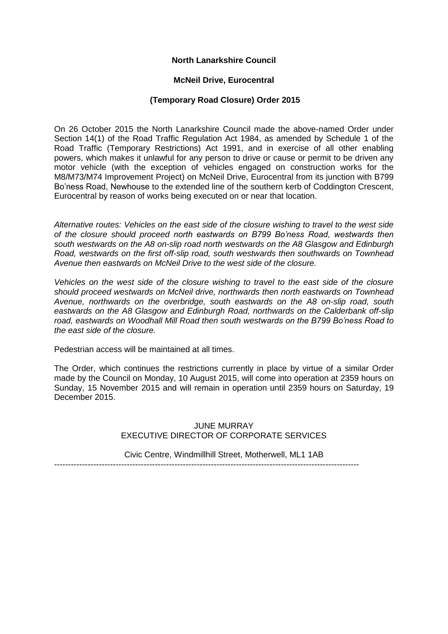# **North Lanarkshire Council**

#### **McNeil Drive, Eurocentral**

### **(Temporary Road Closure) Order 2015**

On 26 October 2015 the North Lanarkshire Council made the above-named Order under Section 14(1) of the Road Traffic Regulation Act 1984, as amended by Schedule 1 of the Road Traffic (Temporary Restrictions) Act 1991, and in exercise of all other enabling powers, which makes it unlawful for any person to drive or cause or permit to be driven any motor vehicle (with the exception of vehicles engaged on construction works for the M8/M73/M74 Improvement Project) on McNeil Drive, Eurocentral from its junction with B799 Bo'ness Road, Newhouse to the extended line of the southern kerb of Coddington Crescent, Eurocentral by reason of works being executed on or near that location.

*Alternative routes: Vehicles on the east side of the closure wishing to travel to the west side of the closure should proceed north eastwards on B799 Bo'ness Road, westwards then south westwards on the A8 on-slip road north westwards on the A8 Glasgow and Edinburgh Road, westwards on the first off-slip road, south westwards then southwards on Townhead Avenue then eastwards on McNeil Drive to the west side of the closure.*

*Vehicles on the west side of the closure wishing to travel to the east side of the closure should proceed westwards on McNeil drive, northwards then north eastwards on Townhead Avenue, northwards on the overbridge, south eastwards on the A8 on-slip road, south eastwards on the A8 Glasgow and Edinburgh Road, northwards on the Calderbank off-slip road, eastwards on Woodhall Mill Road then south westwards on the B799 Bo'ness Road to the east side of the closure.* 

Pedestrian access will be maintained at all times.

The Order, which continues the restrictions currently in place by virtue of a similar Order made by the Council on Monday, 10 August 2015, will come into operation at 2359 hours on Sunday, 15 November 2015 and will remain in operation until 2359 hours on Saturday, 19 December 2015.

### JUNE MURRAY EXECUTIVE DIRECTOR OF CORPORATE SERVICES

Civic Centre, Windmillhill Street, Motherwell, ML1 1AB

-------------------------------------------------------------------------------------------------------------